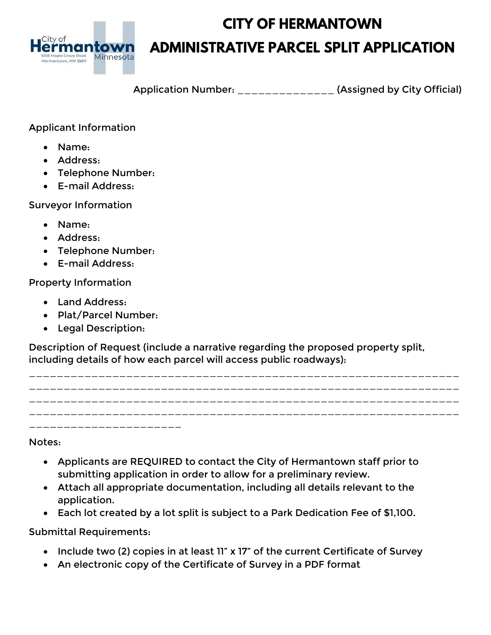

# **CITY OF HERMANTOWN ADMINISTRATIVE PARCEL SPLIT APPLICATION**

Application Number: \_\_\_\_\_\_\_\_\_\_\_\_\_\_ (Assigned by City Official)

## Applicant Information

- Name:
- Address:
- Telephone Number:
- E-mail Address:

#### Surveyor Information

- Name:
- Address:
- Telephone Number:
- E-mail Address:

### Property Information

- Land Address:
- Plat/Parcel Number:
- Legal Description:

Description of Request (include a narrative regarding the proposed property split, including details of how each parcel will access public roadways):



Notes:

- Applicants are REQUIRED to contact the City of Hermantown staff prior to submitting application in order to allow for a preliminary review.
- Attach all appropriate documentation, including all details relevant to the application.
- Each lot created by a lot split is subject to a Park Dedication Fee of \$1,100.

Submittal Requirements:

- Include two (2) copies in at least 11" x 17" of the current Certificate of Survey
- An electronic copy of the Certificate of Survey in a PDF format